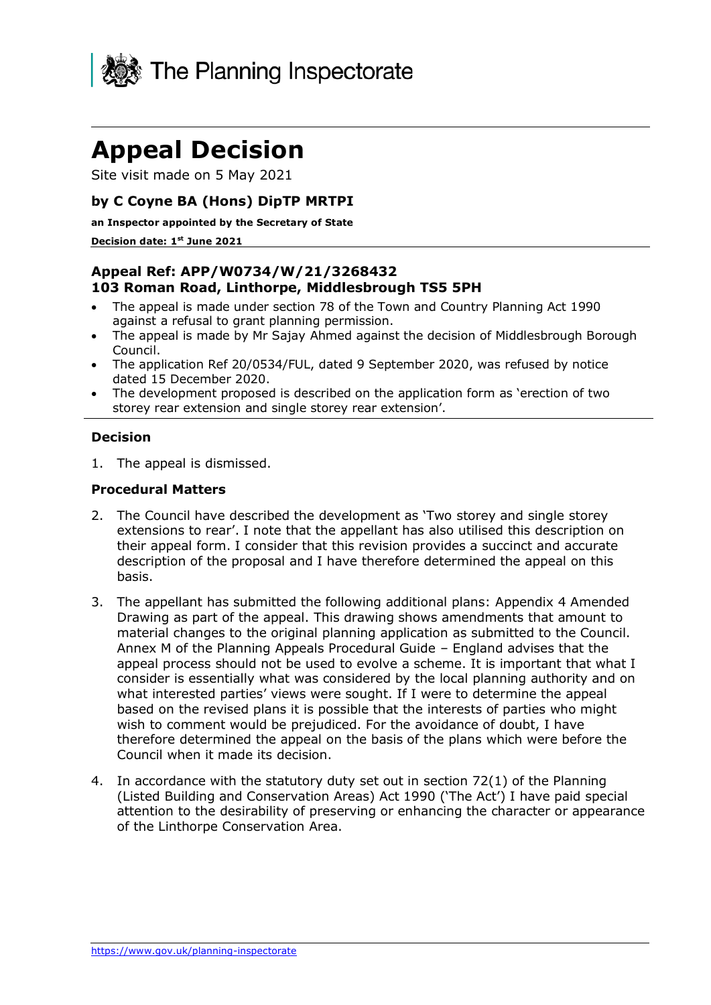

# **Appeal Decision**

Site visit made on 5 May 2021

# **by C Coyne BA (Hons) DipTP MRTPI**

#### **an Inspector appointed by the Secretary of State**

#### **Decision date: 1 st June 2021**

# **Appeal Ref: APP/W0734/W/21/3268432 103 Roman Road, Linthorpe, Middlesbrough TS5 5PH**

- The appeal is made under section 78 of the Town and Country Planning Act 1990 against a refusal to grant planning permission.
- The appeal is made by Mr Sajay Ahmed against the decision of Middlesbrough Borough Council.
- The application Ref 20/0534/FUL, dated 9 September 2020, was refused by notice dated 15 December 2020.
- The development proposed is described on the application form as 'erection of two storey rear extension and single storey rear extension'.

#### **Decision**

1. The appeal is dismissed.

#### **Procedural Matters**

- 2. The Council have described the development as 'Two storey and single storey extensions to rear'. I note that the appellant has also utilised this description on their appeal form. I consider that this revision provides a succinct and accurate description of the proposal and I have therefore determined the appeal on this basis.
- 3. The appellant has submitted the following additional plans: Appendix 4 Amended Drawing as part of the appeal. This drawing shows amendments that amount to material changes to the original planning application as submitted to the Council. Annex M of the Planning Appeals Procedural Guide – England advises that the appeal process should not be used to evolve a scheme. It is important that what I consider is essentially what was considered by the local planning authority and on what interested parties' views were sought. If I were to determine the appeal based on the revised plans it is possible that the interests of parties who might wish to comment would be prejudiced. For the avoidance of doubt, I have therefore determined the appeal on the basis of the plans which were before the Council when it made its decision.
- 4. In accordance with the statutory duty set out in section 72(1) of the Planning (Listed Building and Conservation Areas) Act 1990 ('The Act') I have paid special attention to the desirability of preserving or enhancing the character or appearance of the Linthorpe Conservation Area.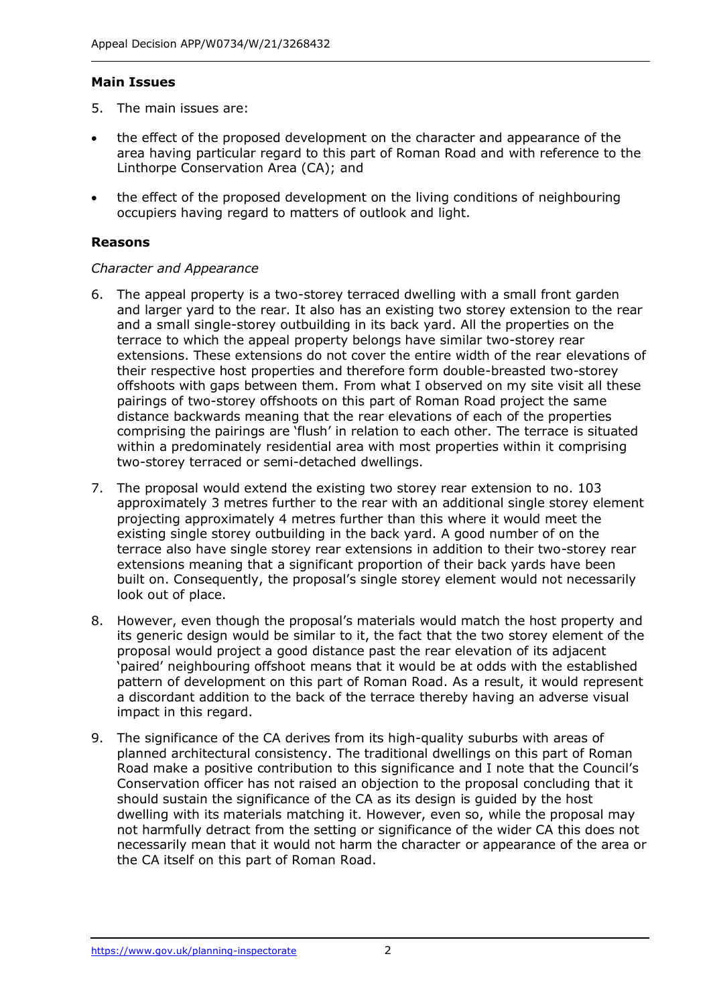#### **Main Issues**

- 5. The main issues are:
- the effect of the proposed development on the character and appearance of the area having particular regard to this part of Roman Road and with reference to the Linthorpe Conservation Area (CA); and
- the effect of the proposed development on the living conditions of neighbouring occupiers having regard to matters of outlook and light.

#### **Reasons**

#### *Character and Appearance*

- 6. The appeal property is a two-storey terraced dwelling with a small front garden and larger yard to the rear. It also has an existing two storey extension to the rear and a small single-storey outbuilding in its back yard. All the properties on the terrace to which the appeal property belongs have similar two-storey rear extensions. These extensions do not cover the entire width of the rear elevations of their respective host properties and therefore form double-breasted two-storey offshoots with gaps between them. From what I observed on my site visit all these pairings of two-storey offshoots on this part of Roman Road project the same distance backwards meaning that the rear elevations of each of the properties comprising the pairings are 'flush' in relation to each other. The terrace is situated within a predominately residential area with most properties within it comprising two-storey terraced or semi-detached dwellings.
- 7. The proposal would extend the existing two storey rear extension to no. 103 approximately 3 metres further to the rear with an additional single storey element projecting approximately 4 metres further than this where it would meet the existing single storey outbuilding in the back yard. A good number of on the terrace also have single storey rear extensions in addition to their two-storey rear extensions meaning that a significant proportion of their back yards have been built on. Consequently, the proposal's single storey element would not necessarily look out of place.
- 8. However, even though the proposal's materials would match the host property and its generic design would be similar to it, the fact that the two storey element of the proposal would project a good distance past the rear elevation of its adjacent 'paired' neighbouring offshoot means that it would be at odds with the established pattern of development on this part of Roman Road. As a result, it would represent a discordant addition to the back of the terrace thereby having an adverse visual impact in this regard.
- 9. The significance of the CA derives from its high-quality suburbs with areas of planned architectural consistency. The traditional dwellings on this part of Roman Road make a positive contribution to this significance and I note that the Council's Conservation officer has not raised an objection to the proposal concluding that it should sustain the significance of the CA as its design is guided by the host dwelling with its materials matching it. However, even so, while the proposal may not harmfully detract from the setting or significance of the wider CA this does not necessarily mean that it would not harm the character or appearance of the area or the CA itself on this part of Roman Road.